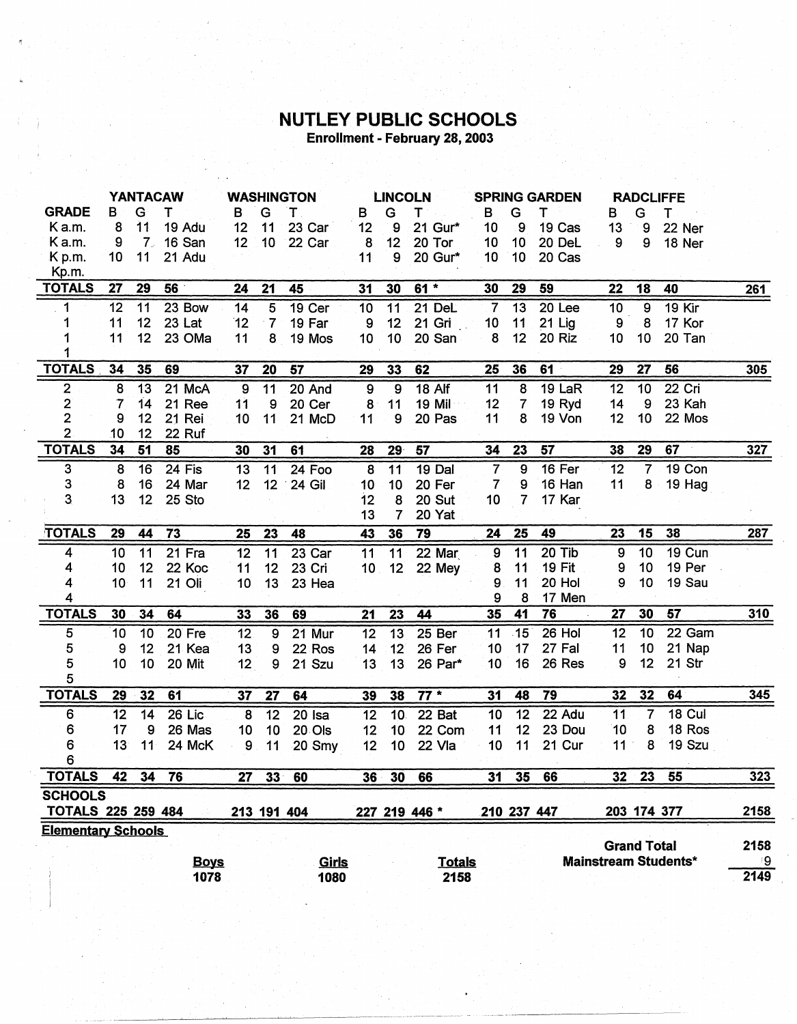## **NUTLEY PUBLIC SCHOOLS**<br>Enrollment - February 28, 2003

|                                            | <b>YANTACAW</b> |                |             | <b>WASHINGTON</b> |                 | <b>LINCOLN</b> |                  | <b>SPRING GARDEN</b> |               |                | <b>RADCLIFFE</b> |               |                  |                    |                             |            |
|--------------------------------------------|-----------------|----------------|-------------|-------------------|-----------------|----------------|------------------|----------------------|---------------|----------------|------------------|---------------|------------------|--------------------|-----------------------------|------------|
| <b>GRADE</b>                               | в               | G              | т           | B                 | G               | $\mathsf{T}$   | B                | G                    | T             | в              | G                | т             | B                | G                  | т                           |            |
| K a.m.                                     | 8               | 11             | 19 Adu      | 12                | 11              | 23 Car         | 12               | 9                    | 21 Gur*       | 10             | .9               | 19 Cas        | 13               | 9                  | 22 Ner                      |            |
| Ka.m.                                      | 9               | 7 <sub>1</sub> | 16 San      | 12                | 10 <sub>1</sub> | 22 Car         | 8                | 12                   | 20 Tor        | 10             | 10               | 20 DeL        | 9                | 9                  | 18 Ner                      |            |
| K <sub>p.m.</sub>                          | 10 <sup>°</sup> | 11             | 21 Adu      |                   |                 |                | 11               | 9                    | 20 Gur*       | 10             | 10               | 20 Cas        |                  |                    |                             |            |
| Kp.m.                                      |                 |                |             |                   |                 |                |                  |                      |               |                |                  |               |                  |                    |                             |            |
| <b>TOTALS</b>                              | 27              | 29             | 56          | 24                | 21              | 45             | 31               | 30                   | $61 *$        | 30             | 29               | 59            | 22               | 18                 | 40                          | <u>261</u> |
| $\overline{1}$                             | 12              | 11             | 23 Bow      | 14                | $\overline{5}$  | 19 Cer         | 10               | $\overline{11}$      | <b>21 DeL</b> | $\overline{7}$ | $\overline{13}$  | $20$ Lee      | 10               | $\overline{9}$     | $19$ Kir                    |            |
| 1                                          | 11              | 12             | 23 Lat      | 12                | $\cdot$ 7       | 19 Far         | 9                | 12                   | 21 Gri        | 10             | 11               | 21 Lig        | $\boldsymbol{9}$ | 8                  | 17 Kor                      |            |
|                                            | 11              | 12             | 23 OMa      | 11                | 8               | 19 Mos         | 10 <sub>1</sub>  | 10                   | 20 San        | 8              | 12               | 20 Riz        | 10               | 10                 | 20 Tan                      |            |
|                                            |                 |                |             |                   |                 |                |                  |                      |               |                |                  |               |                  |                    |                             |            |
| <b>TOTALS</b>                              | 34              | 35             | 69          | 37                | 20              | 57             | 29               | 33                   | 62            | 25             | 36               | 61            | 29               | 27                 | 56                          | 305        |
| $\overline{2}$                             | $\overline{8}$  | 13             | 21 McA      | 9                 | 11              | 20 And         | $\boldsymbol{9}$ | 9                    | 18 Alf        | 11             | 8                | 19 LaR        | 12               | 10                 | 22 Cri                      |            |
|                                            | 7               | 14             | 21 Ree      | 11                | 9               | 20 Cer         | 8                | 11                   | 19 Mil        | 12             | $\overline{7}$   | 19 Ryd        | 14               | 9                  | 23 Kah                      |            |
| $\begin{array}{c} 2 \\ 2 \\ 2 \end{array}$ | 9               | 12             | 21 Rei      | 10                | 11              | 21 McD         | 11               | 9                    | 20 Pas        | 11             | 8                | 19 Von        | 12               | 10                 | 22 Mos                      |            |
|                                            | 10              | 12             | 22 Ruf      |                   |                 |                |                  |                      |               |                |                  |               |                  |                    |                             |            |
| <b>TOTALS</b>                              | 34              | 51             | 85          | 30                | 31              | 61             | 28               | 29                   | 57            | 34             | 23               | 57            | 38               | 29                 | 67                          | 327        |
| 3                                          | 8               | 16             | 24 Fis      | 13                | 11              | 24 Foo         | 8                | $\overline{11}$      | 19 Dal        | $\overline{7}$ | $\overline{9}$   | $16$ Fer      | $\overline{12}$  | $\overline{7}$     | 19 Con                      |            |
| 3                                          | 8               | 16             | 24 Mar      | 12                |                 | 12 24 Gil      | 10               | 10                   | 20 Fer        | $\overline{7}$ | 9                | 16 Han        | 11               | 8                  | 19 Hag                      |            |
| 3                                          | 13              | 12             | 25 Sto      |                   |                 |                | 12               | 8                    | 20 Sut        | 10             | 7                | 17 Kar        |                  |                    |                             |            |
|                                            |                 |                |             |                   |                 |                | 13               | $\overline{7}$       | 20 Yat        |                |                  |               |                  |                    |                             |            |
| <b>TOTALS</b>                              | 29              | 44             | 73          | 25                | 23              | 48             | 43               | 36                   | 79            | 24             | 25               | 49            | 23               | 15                 | 38                          | 287        |
| 4                                          | 10              | 11             | 21 Fra      | 12                | $\overline{11}$ | 23 Car         | 11               | $\overline{11}$      | 22 Mar        | $\overline{9}$ | 11               | 20 Tib        | $\overline{9}$   | 10                 | <b>19 Cun</b>               |            |
| 4                                          | 10              | 12             | 22 Koc      | 11                | 12              | 23 Cri         | 10 <sub>1</sub>  | 12                   | 22 Mey        | 8              | 11               | <b>19 Fit</b> | 9                | 10                 | 19 Per                      |            |
| 4                                          | 10 <sub>1</sub> | 11             | 21 Oli      | 10 <sup>1</sup>   | 13              | 23 Hea         |                  |                      |               | 9              | 11               | 20 Hol        | 9                | 10                 | 19 Sau                      |            |
| 4                                          |                 |                |             |                   |                 |                |                  |                      |               | 9              | 8                | 17 Men        |                  |                    |                             |            |
| <b>TOTALS</b>                              | 30              | 34             | 64          | 33                | 36              | 69             | 21               | 23                   | 44            | 35             | 41               | 76            | 27               | 30                 | 57                          | 310        |
| 5                                          | 10              | 10             | 20 Fre      | 12                | 9               | 21 Mur         | $\overline{12}$  | 13                   | 25 Ber        | 11             | .15              | 26 Hol        | 12               | 10                 | 22 Gam                      |            |
| 5                                          | 9               | 12             | 21 Kea      | 13                | 9               | 22 Ros         | 14               | 12                   | 26 Fer        | 10             | 17               | 27 Fal        | 11               | 10                 | 21 Nap                      |            |
| $\overline{5}$                             | 10              | 10             | 20 Mit      | 12                | 9               | 21 Szu         | 13               | 13                   | 26 Par*       | 10             | 16               | 26 Res        | 9                | 12                 | 21 Str                      |            |
| 5                                          |                 |                |             |                   |                 |                |                  |                      |               |                |                  |               |                  |                    |                             |            |
| <b>TOTALS</b>                              | 29              | 32             | 61          | 37                | 27              | 64             | 39               | 38                   | $77*$         | 31             | 48               | 79            | 32               | 32                 | 64                          | 345        |
| 6                                          | 12              | 14             | 26 Lic      | 8                 | $\overline{12}$ | 20 Isa         | 12               | 10 <sub>1</sub>      | $22$ Bat      | 10             | $\overline{12}$  | 22 Adu        | 11               | $\overline{7}$     | 18 Cul                      |            |
| 6                                          | 17              | 9              | 26 Mas      | 10                | 10              | 20 Ols         | 12               | 10 <sub>1</sub>      | 22 Com        | 11             | 12               | 23 Dou        | 10               | 8                  | 18 Ros                      |            |
| 6                                          | 13              | 11             | 24 McK      | 9                 | 11              | 20 Smy         | 12               | 10                   | <b>22 Vla</b> | 10             | 11               | 21 Cur        | 11               | 8                  | 19 Szu                      |            |
| 6                                          |                 |                |             |                   |                 |                |                  |                      |               |                |                  |               |                  |                    |                             |            |
| <b>TOTALS</b>                              | 42              | 34             | 76          | 27                |                 | 33 60          |                  | 36 30                | 66            | 31             | 35               | 66            | 32 <sub>2</sub>  | 23                 | 55                          | 323        |
| <b>SCHOOLS</b>                             |                 |                |             |                   |                 |                |                  |                      |               |                |                  |               |                  |                    |                             |            |
| <b>TOTALS 225 259 484</b>                  |                 |                |             |                   |                 | 213 191 404    |                  |                      | 227 219 446 * |                |                  | 210 237 447   |                  | 203 174 377        |                             | 2158       |
| <b>Elementary Schools</b>                  |                 |                |             |                   |                 |                |                  |                      |               |                |                  |               |                  |                    |                             |            |
|                                            |                 |                |             |                   |                 |                |                  |                      |               |                |                  |               |                  | <b>Grand Total</b> |                             | 2158       |
|                                            |                 |                | <b>Boys</b> |                   |                 | Girls          |                  |                      | <b>Totals</b> |                |                  |               |                  |                    | <b>Mainstream Students*</b> | -9         |
|                                            |                 |                | 1078        |                   |                 | 1080           |                  |                      | 2158          |                |                  |               |                  |                    |                             | 2149       |